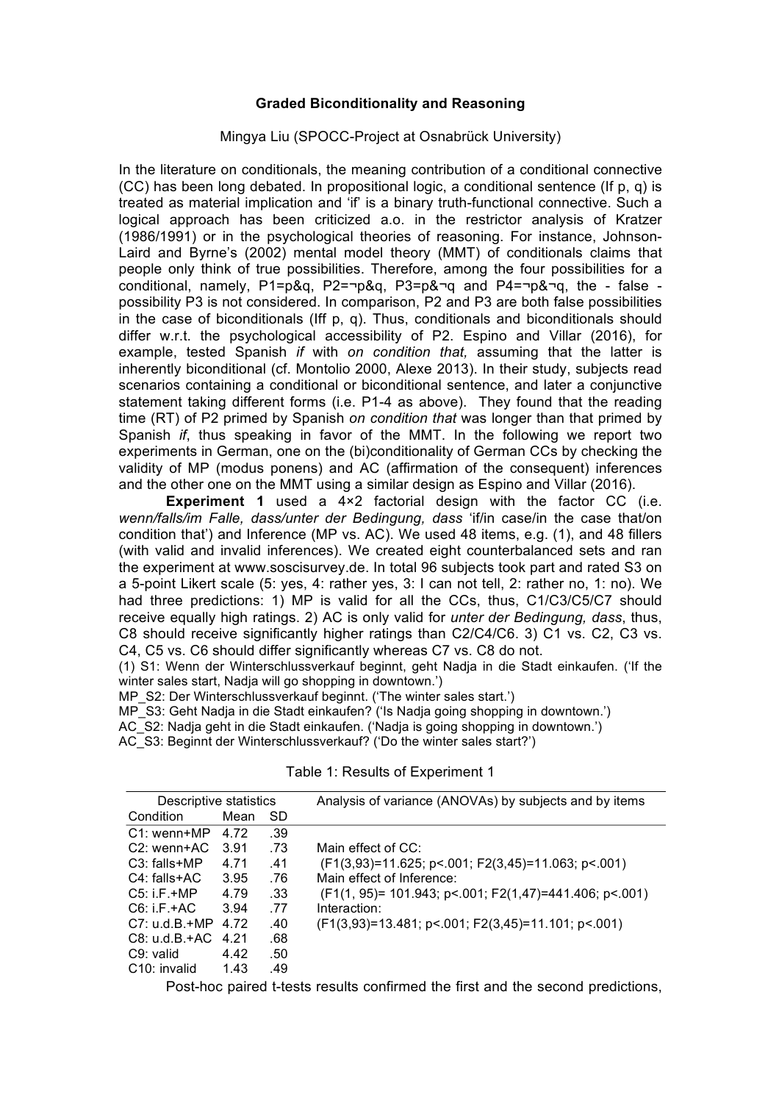## **Graded Biconditionality and Reasoning**

## Mingya Liu (SPOCC-Project at Osnabrück University)

In the literature on conditionals, the meaning contribution of a conditional connective (CC) has been long debated. In propositional logic, a conditional sentence (If p, q) is treated as material implication and 'if' is a binary truth-functional connective. Such a logical approach has been criticized a.o. in the restrictor analysis of Kratzer (1986/1991) or in the psychological theories of reasoning. For instance, Johnson-Laird and Byrne's (2002) mental model theory (MMT) of conditionals claims that people only think of true possibilities. Therefore, among the four possibilities for a conditional, namely, P1=p&q, P2=¬p&q, P3=p&¬q and P4=¬p&¬q, the - false possibility P3 is not considered. In comparison, P2 and P3 are both false possibilities in the case of biconditionals (Iff p, q). Thus, conditionals and biconditionals should differ w.r.t. the psychological accessibility of P2. Espino and Villar (2016), for example, tested Spanish *if* with *on condition that,* assuming that the latter is inherently biconditional (cf. Montolio 2000, Alexe 2013). In their study, subjects read scenarios containing a conditional or biconditional sentence, and later a conjunctive statement taking different forms (i.e. P1-4 as above). They found that the reading time (RT) of P2 primed by Spanish *on condition that* was longer than that primed by Spanish *if*, thus speaking in favor of the MMT. In the following we report two experiments in German, one on the (bi)conditionality of German CCs by checking the validity of MP (modus ponens) and AC (affirmation of the consequent) inferences and the other one on the MMT using a similar design as Espino and Villar (2016).

**Experiment 1** used a 4×2 factorial design with the factor CC (i.e. *wenn/falls/im Falle, dass/unter der Bedingung, dass* 'if/in case/in the case that/on condition that') and Inference (MP vs. AC). We used 48 items, e.g. (1), and 48 fillers (with valid and invalid inferences). We created eight counterbalanced sets and ran the experiment at www.soscisurvey.de. In total 96 subjects took part and rated S3 on a 5-point Likert scale (5: yes, 4: rather yes, 3: I can not tell, 2: rather no, 1: no). We had three predictions: 1) MP is valid for all the CCs, thus, C1/C3/C5/C7 should receive equally high ratings. 2) AC is only valid for *unter der Bedingung, dass*, thus, C8 should receive significantly higher ratings than C2/C4/C6. 3) C1 vs. C2, C3 vs. C4, C5 vs. C6 should differ significantly whereas C7 vs. C8 do not.

(1) S1: Wenn der Winterschlussverkauf beginnt, geht Nadja in die Stadt einkaufen. ('If the winter sales start, Nadja will go shopping in downtown.')

MP S2: Der Winterschlussverkauf beginnt. ('The winter sales start.')

MP\_S3: Geht Nadja in die Stadt einkaufen? ('Is Nadja going shopping in downtown.')

AC\_S2: Nadja geht in die Stadt einkaufen. ('Nadja is going shopping in downtown.')

AC\_S3: Beginnt der Winterschlussverkauf? ('Do the winter sales start?')

| Descriptive statistics    |      |           | Analysis of variance (ANOVAs) by subjects and by items   |
|---------------------------|------|-----------|----------------------------------------------------------|
| Condition                 | Mean | <b>SD</b> |                                                          |
| $C1:$ wenn+MP             | 4.72 | .39       |                                                          |
| $C2:$ wenn+AC             | 3.91 | .73       | Main effect of CC:                                       |
| $C3:$ falls+MP            | 4.71 | .41       | $(F1(3,93)=11.625; p<.001; F2(3,45)=11.063; p<.001)$     |
| $C4:$ falls+AC            | 3.95 | .76       | Main effect of Inference:                                |
| $C5:$ i.F.+MP             | 4.79 | .33       | $(F1(1, 95)= 101.943; p<.001; F2(1,47)=441.406; p<.001)$ |
| $CG:IF+AC$                | 3.94 | .77       | Interaction:                                             |
| $C7: u.d.B.+MP$           | 4.72 | .40       | (F1(3,93)=13.481; p < 0.001; F2(3,45)=11.101; p < 0.001) |
| $C8: u.d.B.+AC$           | 4 21 | .68       |                                                          |
| C.9: valid                | 4.42 | .50       |                                                          |
| C <sub>10</sub> : invalid | 1.43 | .49       |                                                          |

Table 1: Results of Experiment 1

Post-hoc paired t-tests results confirmed the first and the second predictions,